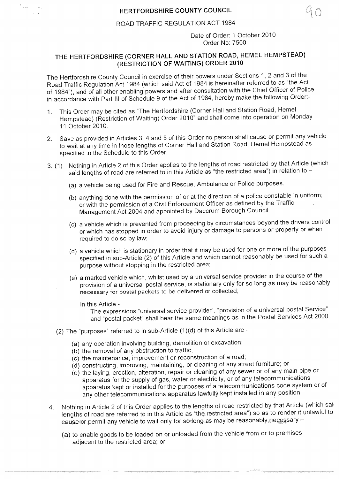## ROAD TRAFFIC REGULATION ACT 1984

Date of Order: 1 October 2010 Order No: 7500

## **THE HERTFORDSHIRE** (CORNER HALL AND STATION ROAD, **HEMEL HEMPSTEAD)** (RESTRICTION OF WAITING) **ORDER 2010**

The Hertfordshire County Council in exercise of their powers under Sections 1, 2 and 3 of the Road Traffic Regulation Act 1984 (which said Act of 1984 is hereinafter referred to as "the Act of 1984"), and of all other enab

- 1. This Order may be cited as "The Hertfordshire (Corner Hall and Station Road, Hemel Hempstead) (Restriction of Waiting) Order 2010" and shall come into operation on Monday 11 October 2010.
- 2. Save as provided in Articles 3, 4 and 5 of this Order no person shall cause or permit any vehicle to wait at any time in those lengths of Corner Hall and Station Road, Hemel Hempstead as specified in the Schedule to this Order.
- 3. (1) Nothing in Article 2 of this Order applies to the lengths of road restricted by that Article (which said lengths of road are referred to in this Article as "the restricted area") in relation to
	- (a) a vehicle being used for Fire and Rescue, Ambulance or Police purposes.
	- (b) anything done with the permission of or at the direction of a police constable in uniform;<br>or with the permission of a Civil Enforcement Officer as defined by the Traffic<br>Management Act 2004 and appointed by Dacorum Bo
	- (c) a vehicle which is prevented from proceeding by circumstances beyond the drivers control or which has stopped in order to avoid injury or damage to persons or property or when required to do so by law;
	- (d) a vehicle which is stationary in order that it may be used for one or more of the purposes specified in sub-Article (2) of this Article and which cannot reasonably be used for such a purpose without stopping in the restricted area;
	- (e) a marked vehicle which, whilst used by a universal service provider in the course of the provision of a universal postal service, is stationary only for so long as may be reasonably necessary for postal packets to be d
		-

 $\epsilon_{\rm min}$ 

In this Article -<br>"The expressions "universal service provider", "provision of a universal postal Service" and "postal packet" shall bear the same meanings as in the Postal Services Act 2000.

- (2) The "purposes" referred to in sub-Article  $(1)(d)$  of this Article are  $-$ 
	- (a) any operation involving building, demolition or excavation;
	- (b) the removal of any obstruction to traffic;
	- (c) the maintenance, improvement or reconstruction of a road;
	-
	- (d) constructing, improving, maintaining, or cleaning of any street furniture; or apparatus for the supply of gas, water or electricity, or of any telecommunications<br>apparatus kept or installed for the purposes of a telecommunications code system or of<br>any other telecommunications apparatus lawfully kep
- 4. Nothing in Article 2 of this Order applies to the lengths of road restricted by that Article (which sai' lengths of road are referred to in this Article as "the restricted area") so as to render it unlawful to cause for permit any vehicle to wait only for se-long as may be reasonably necessary  $\pm$ 
	- (a) to enable goods to be loaded on or unloaded from the vehicle from or to premises adjacent to the restricted area; or